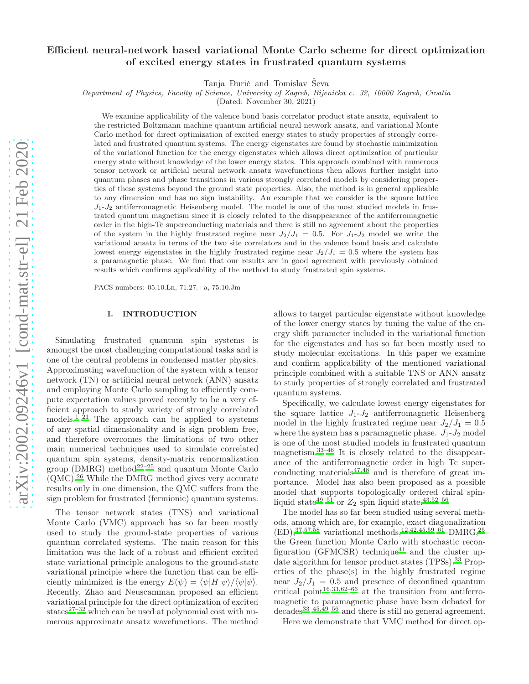# Efficient neural-network based variational Monte Carlo scheme for direct optimization of excited energy states in frustrated quantum systems

Tanja Ðurić and Tomislav Ševa

Department of Physics, Faculty of Science, University of Zagreb, Bijenička c. 32, 10000 Zagreb, Croatia

(Dated: November 30, 2021)

We examine applicability of the valence bond basis correlator product state ansatz, equivalent to the restricted Boltzmann machine quantum artificial neural network ansatz, and variational Monte Carlo method for direct optimization of excited energy states to study properties of strongly correlated and frustrated quantum systems. The energy eigenstates are found by stochastic minimization of the variational function for the energy eigenstates which allows direct optimization of particular energy state without knowledge of the lower energy states. This approach combined with numerous tensor network or artificial neural network ansatz wavefunctions then allows further insight into quantum phases and phase transitions in various strongly correlated models by considering properties of these systems beyond the ground state properties. Also, the method is in general applicable to any dimension and has no sign instability. An example that we consider is the square lattice  $J_1-J_2$  antiferromagnetic Heisenberg model. The model is one of the most studied models in frustrated quantum magnetism since it is closely related to the disappearance of the antiferromagnetic order in the high-Tc superconducting materials and there is still no agreement about the properties of the system in the highly frustrated regime near  $J_2/J_1 = 0.5$ . For  $J_1-J_2$  model we write the variational ansatz in terms of the two site correlators and in the valence bond basis and calculate lowest energy eigenstates in the highly frustrated regime near  $J_2/J_1 = 0.5$  where the system has a paramagnetic phase. We find that our results are in good agreement with previously obtained results which confirms applicability of the method to study frustrated spin systems.

PACS numbers: 05.10.Ln, 71.27.+a, 75.10.Jm

### I. INTRODUCTION

Simulating frustrated quantum spin systems is amongst the most challenging computational tasks and is one of the central problems in condensed matter physics. Approximating wavefunction of the system with a tensor network (TN) or artificial neural network (ANN) ansatz and employing Monte Carlo sampling to efficiently compute expectation values proved recently to be a very efficient approach to study variety of strongly correlated models.<sup>[1](#page-7-0)[–21](#page-7-1)</sup> The approach can be applied to systems of any spatial dimensionality and is sign problem free, and therefore overcomes the limitations of two other main numerical techniques used to simulate correlated quantum spin systems, density-matrix renormalization group ( $\rm{DMRG}$ ) metho[d](#page-7-2)<sup>22[–25](#page-7-3)</sup> and quantum Monte Carlo  $(OMC).<sup>26</sup>$  $(OMC).<sup>26</sup>$  $(OMC).<sup>26</sup>$  While the DMRG method gives very accurate results only in one dimension, the QMC suffers from the sign problem for frustrated (fermionic) quantum systems.

The tensor network states (TNS) and variational Monte Carlo (VMC) approach has so far been mostly used to study the ground-state properties of various quantum correlated systems. The main reason for this limitation was the lack of a robust and efficient excited state variational principle analogous to the ground-state variational principle where the function that can be efficiently minimized is the energy  $E(\psi) = \langle \psi | H | \psi \rangle / \langle \psi | \psi \rangle$ . Recently, Zhao and Neuscamman proposed an efficient variational principle for the direct optimization of excited states $27-32$  $27-32$  which can be used at polynomial cost with numerous approximate ansatz wavefunctions. The method

allows to target particular eigenstate without knowledge of the lower energy states by tuning the value of the energy shift parameter included in the variational function for the eigenstates and has so far been mostly used to study molecular excitations. In this paper we examine and confirm applicability of the mentioned variational principle combined with a suitable TNS or ANN ansatz to study properties of strongly correlated and frustrated quantum systems.

Specifically, we calculate lowest energy eigenstates for the square lattice  $J_1-J_2$  antiferromagnetic Heisenberg model in the highly frustrated regime near  $J_2/J_1 = 0.5$ where the system has a paramagnetic phase.  $J_1-J_2$  model is one of the most studied models in frustrated quantum magnetism.[33](#page-7-7)[–46](#page-8-0) It is closely related to the disappearance of the antiferromagnetic order in high Tc superconducting material[s](#page-8-1) $47,48$  $47,48$  and is therefore of great importance. Model has also been proposed as a possible model that supports topologically ordered chiral spin-liquid state<sup>[49](#page-8-3)[–51](#page-8-4)</sup> or  $Z_2$  spin liquid state.<sup>[43](#page-8-5)[,52](#page-8-6)[–56](#page-8-7)</sup>

The model has so far been studied using several methods, among which are, for example, exact diagonalization  $(ED),^{37,57,58}$  $(ED),^{37,57,58}$  $(ED),^{37,57,58}$  $(ED),^{37,57,58}$  $(ED),^{37,57,58}$  variational methods,<sup>[12](#page-7-9)[,42](#page-8-10)[,45](#page-8-11)[,59](#page-8-12)[–61](#page-8-13)</sup> DMRG,<sup>[25](#page-7-3)</sup> the Green function Monte Carlo with stochastic recon-figuration (GFMCSR) technique<sup>[41](#page-8-14)</sup> and the cluster up-date algorithm for tensor product states (TPSs).<sup>[33](#page-7-7)</sup> Properties of the phase(s) in the highly frustrated regime near  $J_2/J_1 = 0.5$  and presence of deconfined quantum critical point<sup>[16](#page-7-10)[,33](#page-7-7)[,62](#page-8-15)[–66](#page-8-16)</sup> at the transition from antiferromagnetic to paramagnetic phase have been debated for decade[s](#page-7-7)33[–45](#page-8-11)[,49](#page-8-3)[–56](#page-8-7) and there is still no general agreement.

Here we demonstrate that VMC method for direct op-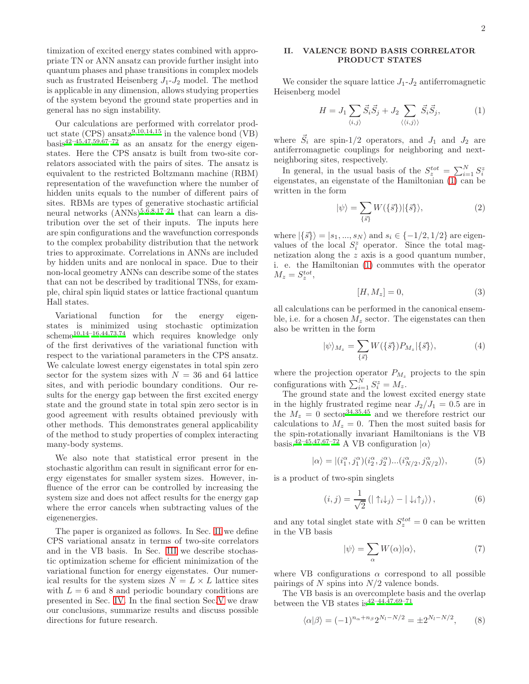timization of excited energy states combined with appropriate TN or ANN ansatz can provide further insight into quantum phases and phase transitions in complex models such as frustrated Heisenberg  $J_1-J_2$  model. The method is applicable in any dimension, allows studying properties of the system beyond the ground state properties and in general has no sign instability.

Our calculations are performed with correlator product state (CPS) ansat[z](#page-7-11)<sup>9[,10](#page-7-12)[,14](#page-7-13)[,15](#page-7-14)</sup> in the valence bond (VB)  $basis^{42-45,47,59,67-72}$  $basis^{42-45,47,59,67-72}$  $basis^{42-45,47,59,67-72}$  $basis^{42-45,47,59,67-72}$  $basis^{42-45,47,59,67-72}$  $basis^{42-45,47,59,67-72}$  $basis^{42-45,47,59,67-72}$  as an ansatz for the energy eigenstates. Here the CPS ansatz is built from two-site correlators associated with the pairs of sites. The ansatz is equivalent to the restricted Boltzmann machine (RBM) representation of the wavefunction where the number of hidden units equals to the number of different pairs of sites. RBMs are types of generative stochastic artificial neural networks  $(ANNs)^{5,6,8,17-21}$  $(ANNs)^{5,6,8,17-21}$  $(ANNs)^{5,6,8,17-21}$  $(ANNs)^{5,6,8,17-21}$  $(ANNs)^{5,6,8,17-21}$  $(ANNs)^{5,6,8,17-21}$  that can learn a distribution over the set of their inputs. The inputs here are spin configurations and the wavefunction corresponds to the complex probability distribution that the network tries to approximate. Correlations in ANNs are included by hidden units and are nonlocal in space. Due to their non-local geometry ANNs can describe some of the states that can not be described by traditional TNSs, for example, chiral spin liquid states or lattice fractional quantum Hall states.

Variational function for the energy eigenstates is minimized using stochastic optimization  $\rm{scheme}^{10,14-16,44,73,74}$  $\rm{scheme}^{10,14-16,44,73,74}$  $\rm{scheme}^{10,14-16,44,73,74}$  $\rm{scheme}^{10,14-16,44,73,74}$  $\rm{scheme}^{10,14-16,44,73,74}$  $\rm{scheme}^{10,14-16,44,73,74}$  $\rm{scheme}^{10,14-16,44,73,74}$  $\rm{scheme}^{10,14-16,44,73,74}$  which requires knowledge only of the first derivatives of the variational function with respect to the variational parameters in the CPS ansatz. We calculate lowest energy eigenstates in total spin zero sector for the system sizes with  $N = 36$  and 64 lattice sites, and with periodic boundary conditions. Our results for the energy gap between the first excited energy state and the ground state in total spin zero sector is in good agreement with results obtained previously with other methods. This demonstrates general applicability of the method to study properties of complex interacting many-body systems.

We also note that statistical error present in the stochastic algorithm can result in significant error for energy eigenstates for smaller system sizes. However, influence of the error can be controlled by increasing the system size and does not affect results for the energy gap where the error cancels when subtracting values of the eigenenergies.

The paper is organized as follows. In Sec. [II](#page-1-0) we define CPS variational ansatz in terms of two-site correlators and in the VB basis. In Sec. [III](#page-2-0) we describe stochastic optimization scheme for efficient minimization of the variational function for energy eigenstates. Our numerical results for the system sizes  $N = L \times L$  lattice sites with  $L = 6$  and 8 and periodic boundary conditions are presented in Sec. [IV.](#page-5-0) In the final section Sec[.V](#page-7-19) we draw our conclusions, summarize results and discuss possible directions for future research.

## <span id="page-1-0"></span>II. VALENCE BOND BASIS CORRELATOR PRODUCT STATES

We consider the square lattice  $J_1-J_2$  antiferromagnetic Heisenberg model

<span id="page-1-1"></span>
$$
H = J_1 \sum_{\langle i,j \rangle} \vec{S}_i \vec{S}_j + J_2 \sum_{\langle \langle i,j \rangle \rangle} \vec{S}_i \vec{S}_j,\tag{1}
$$

where  $\vec{S}_i$  are spin-1/2 operators, and  $J_1$  and  $J_2$  are antiferromagnetic couplings for neighboring and nextneighboring sites, respectively.

In general, in the usual basis of the  $S_z^{tot} = \sum_{i=1}^{N} S_i^z$  eigenstates, an eigenstate of the Hamiltonian [\(1\)](#page-1-1) can be written in the form

<span id="page-1-4"></span>
$$
|\psi\rangle = \sum_{\{\vec{s}\}} W(\{\vec{s}\}) |\{\vec{s}\}\rangle,\tag{2}
$$

where  $|\{\vec{s}\}\rangle = |s_1, ..., s_N\rangle$  and  $s_i \in \{-1/2, 1/2\}$  are eigenvalues of the local  $S_i^z$  operator. Since the total magnetization along the z axis is a good quantum number, i. e. the Hamiltonian [\(1\)](#page-1-1) commutes with the operator  $M_z = S_z^{tot},$ 

$$
[H, M_z] = 0,\t\t(3)
$$

all calculations can be performed in the canonical ensemble, i.e. for a chosen  $M_z$  sector. The eigenstates can then also be written in the form

$$
|\psi\rangle_{M_z} = \sum_{\{\vec{s}\}} W(\{\vec{s}\}) P_{M_z}|\{\vec{s}\}\rangle,\tag{4}
$$

where the projection operator  $P_{M_z}$  projects to the spin configurations with  $\sum_{i=1}^{N} S_i^z = M_z$ .

The ground state and the lowest excited energy state in the highly frustrated regime near  $J_2/J_1 = 0.5$  are in the  $M_z = 0$  sector<sup>[34](#page-7-20)[,35](#page-7-21)[,45](#page-8-11)</sup> and we therefore restrict our calculations to  $M_z = 0$ . Then the most suited basis for the spin-rotationally invariant Hamiltonians is the VB basis.<sup>[42](#page-8-10)[–45](#page-8-11)[,47](#page-8-1)[,67](#page-8-17)[–72](#page-8-18)</sup> A VB configuration  $|\alpha\rangle$ 

<span id="page-1-2"></span>
$$
|\alpha\rangle = |(i_1^{\alpha}, j_1^{\alpha})(i_2^{\alpha}, j_2^{\alpha})... (i_{N/2}^{\alpha}, j_{N/2}^{\alpha})\rangle, \tag{5}
$$

is a product of two-spin singlets

$$
(i,j) = \frac{1}{\sqrt{2}} \left( |\uparrow_i \downarrow_j \rangle - |\downarrow_i \uparrow_j \rangle \right), \tag{6}
$$

and any total singlet state with  $S_z^{tot} = 0$  can be written in the VB basis

<span id="page-1-3"></span>
$$
|\psi\rangle = \sum_{\alpha} W(\alpha)|\alpha\rangle,\tag{7}
$$

where VB configurations  $\alpha$  correspond to all possible pairings of  $N$  spins into  $N/2$  valence bonds.

The VB basis is an overcomplete basis and the overlap between the VB states is  $42-44,47,69-71$  $42-44,47,69-71$  $42-44,47,69-71$  $42-44,47,69-71$  $42-44,47,69-71$ 

<span id="page-1-5"></span>
$$
\langle \alpha | \beta \rangle = (-1)^{n_{\alpha} + n_{\beta}} 2^{N_l - N/2} = \pm 2^{N_l - N/2}, \qquad (8)
$$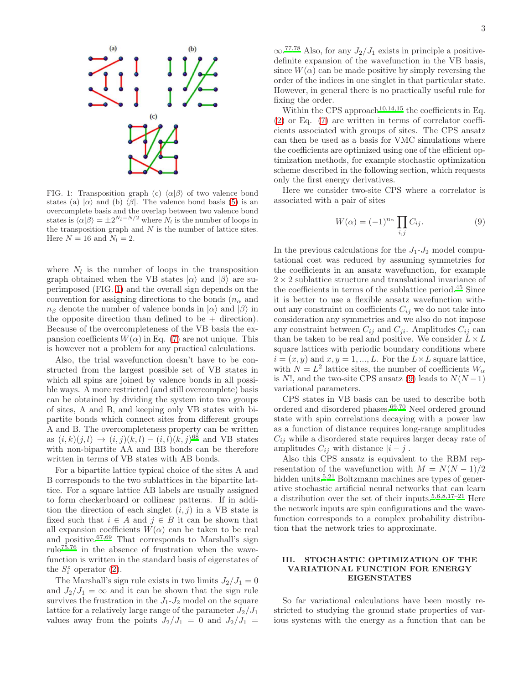

<span id="page-2-1"></span>FIG. 1: Transposition graph (c)  $\langle \alpha | \beta \rangle$  of two valence bond states (a)  $|\alpha\rangle$  and (b)  $\langle \beta|$ . The valence bond basis [\(5\)](#page-1-2) is an overcomplete basis and the overlap between two valence bond states is  $\langle \alpha | \beta \rangle = \pm 2^{N_l - N/2}$  where  $N_l$  is the number of loops in the transposition graph and  $N$  is the number of lattice sites. Here  $N = 16$  and  $N_l = 2$ .

where  $N_l$  is the number of loops in the transposition graph obtained when the VB states  $|\alpha\rangle$  and  $|\beta\rangle$  are superimposed (FIG. [1\)](#page-2-1) and the overall sign depends on the convention for assigning directions to the bonds  $(n_{\alpha} \text{ and }$  $n_\beta$  denote the number of valence bonds in  $|\alpha\rangle$  and  $|\beta\rangle$  in the opposite direction than defined to be  $+$  direction). Because of the overcompleteness of the VB basis the expansion coefficients  $W(\alpha)$  in Eq. [\(7\)](#page-1-3) are not unique. This is however not a problem for any practical calculations.

Also, the trial wavefunction doesn't have to be constructed from the largest possible set of VB states in which all spins are joined by valence bonds in all possible ways. A more restricted (and still overcomplete) basis can be obtained by dividing the system into two groups of sites, A and B, and keeping only VB states with bipartite bonds which connect sites from different groups A and B. The overcompleteness property can be written as  $(i, k)(j, l) \to (i, j)(k, l) - (i, l)(k, j)^{68}$  $(i, k)(j, l) \to (i, j)(k, l) - (i, l)(k, j)^{68}$  $(i, k)(j, l) \to (i, j)(k, l) - (i, l)(k, j)^{68}$  and VB states with non-bipartite AA and BB bonds can be therefore written in terms of VB states with AB bonds.

For a bipartite lattice typical choice of the sites A and B corresponds to the two sublattices in the bipartite lattice. For a square lattice AB labels are usually assigned to form checkerboard or collinear patterns. If in addition the direction of each singlet  $(i, j)$  in a VB state is fixed such that  $i \in A$  and  $j \in B$  it can be shown that all expansion coefficients  $W(\alpha)$  can be taken to be real and positive.[67](#page-8-17)[,69](#page-8-22) That corresponds to Marshall's sign rule<sup>[75](#page-8-25)[,76](#page-8-26)</sup> in the absence of frustration when the wavefunction is written in the standard basis of eigenstates of the  $S_i^z$  operator [\(2\)](#page-1-4).

The Marshall's sign rule exists in two limits  $J_2/J_1 = 0$ and  $J_2/J_1 = \infty$  and it can be shown that the sign rule survives the frustration in the  $J_1-J_2$  model on the square lattice for a relatively large range of the parameter  $J_2/J_1$ values away from the points  $J_2/J_1 = 0$  and  $J_2/J_1 =$ 

 $\infty$ .<sup>[77](#page-8-27)[,78](#page-8-28)</sup> Also, for any  $J_2/J_1$  exists in principle a positivedefinite expansion of the wavefunction in the VB basis, since  $W(\alpha)$  can be made positive by simply reversing the order of the indices in one singlet in that particular state. However, in general there is no practically useful rule for fixing the order.

Within the CPS approach<sup>[10](#page-7-12)[,14](#page-7-13)[,15](#page-7-14)</sup> the coefficients in Eq.  $(2)$  or Eq.  $(7)$  are written in terms of correlator coefficients associated with groups of sites. The CPS ansatz can then be used as a basis for VMC simulations where the coefficients are optimized using one of the efficient optimization methods, for example stochastic optimization scheme described in the following section, which requests only the first energy derivatives.

Here we consider two-site CPS where a correlator is associated with a pair of sites

<span id="page-2-2"></span>
$$
W(\alpha) = (-1)^{n_{\alpha}} \prod_{i,j} C_{ij}.
$$
 (9)

In the previous calculations for the  $J_1-J_2$  model computational cost was reduced by assuming symmetries for the coefficients in an ansatz wavefunction, for example  $2\times 2$  sublattice structure and translational invariance of the coefficients in terms of the sublattice period.[45](#page-8-11) Since it is better to use a flexible ansatz wavefunction without any constraint on coefficients  $C_{ij}$  we do not take into consideration any symmetries and we also do not impose any constraint between  $C_{ij}$  and  $C_{ji}$ . Amplitudes  $C_{ij}$  can than be taken to be real and positive. We consider  $L \times L$ square lattices with periodic boundary conditions where  $i = (x, y)$  and  $x, y = 1, ..., L$ . For the  $L \times L$  square lattice, with  $N = L^2$  lattice sites, the number of coefficients  $W_{\alpha}$ is N!, and the two-site CPS ansatz [\(9\)](#page-2-2) leads to  $N(N-1)$ variational parameters.

CPS states in VB basis can be used to describe both ordered and disordered phases.[69](#page-8-22)[,70](#page-8-29) Neel ordered ground state with spin correlations decaying with a power law as a function of distance requires long-range amplitudes  $C_{ij}$  while a disordered state requires larger decay rate of amplitudes  $C_{ij}$  with distance  $|i - j|$ .

Also this CPS ansatz is equivalent to the RBM representation of the wavefunction with  $M = N(N-1)/2$ hidden units.<sup>[5](#page-7-15)[,21](#page-7-1)</sup> Boltzmann machines are types of generative stochastic artificial neural networks that can learn a distribution over the set of their inputs.<sup>[5](#page-7-15)[,6](#page-7-16)[,8](#page-7-17)[,17](#page-7-18)[–21](#page-7-1)</sup> Here the network inputs are spin configurations and the wavefunction corresponds to a complex probability distribution that the network tries to approximate.

## <span id="page-2-0"></span>III. STOCHASTIC OPTIMIZATION OF THE VARIATIONAL FUNCTION FOR ENERGY EIGENSTATES

So far variational calculations have been mostly restricted to studying the ground state properties of various systems with the energy as a function that can be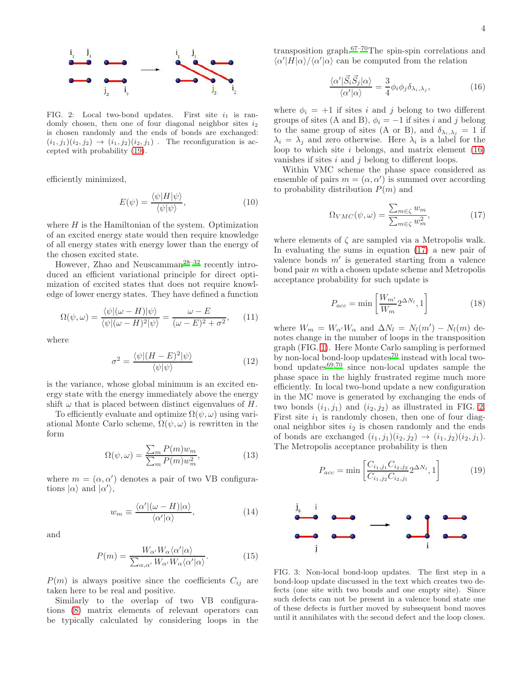

<span id="page-3-3"></span>FIG. 2: Local two-bond updates. First site  $i_1$  is randomly chosen, then one of four diagonal neighbor sites  $i_2$ is chosen randomly and the ends of bonds are exchanged:  $(i_1, j_1)(i_2, j_2) \rightarrow (i_1, j_2)(i_2, j_1)$ . The reconfiguration is accepted with probability [\(19\)](#page-3-0).

efficiently minimized,

$$
E(\psi) = \frac{\langle \psi | H | \psi \rangle}{\langle \psi | \psi \rangle},\tag{10}
$$

where  $H$  is the Hamiltonian of the system. Optimization of an excited energy state would then require knowledge of all energy states with energy lower than the energy of the chosen excited state.

However, Zhao and Neuscamman<sup>[28](#page-7-22)[–32](#page-7-6)</sup> recently introduced an efficient variational principle for direct optimization of excited states that does not require knowledge of lower energy states. They have defined a function

$$
\Omega(\psi,\omega) = \frac{\langle \psi | (\omega - H) | \psi \rangle}{\langle \psi | (\omega - H)^2 | \psi \rangle} = \frac{\omega - E}{(\omega - E)^2 + \sigma^2},\qquad(11)
$$

where

$$
\sigma^2 = \frac{\langle \psi | (H - E)^2 | \psi \rangle}{\langle \psi | \psi \rangle} \tag{12}
$$

is the variance, whose global minimum is an excited energy state with the energy immediately above the energy shift  $\omega$  that is placed between distinct eigenvalues of H.

To efficiently evaluate and optimize  $\Omega(\psi,\omega)$  using variational Monte Carlo scheme,  $\Omega(\psi,\omega)$  is rewritten in the form

$$
\Omega(\psi,\omega) = \frac{\sum_{m} P(m) w_m}{\sum_{m} P(m) w_m^2},\tag{13}
$$

where  $m = (\alpha, \alpha')$  denotes a pair of two VB configurations  $|\alpha\rangle$  and  $|\alpha'\rangle$ ,

$$
w_m \equiv \frac{\langle \alpha' | (\omega - H) | \alpha \rangle}{\langle \alpha' | \alpha \rangle},\tag{14}
$$

and

$$
P(m) = \frac{W_{\alpha'} W_{\alpha} \langle \alpha' | \alpha \rangle}{\sum_{\alpha, \alpha'} W_{\alpha'} W_{\alpha} \langle \alpha' | \alpha \rangle}.
$$
 (15)

 $P(m)$  is always positive since the coefficients  $C_{ij}$  are taken here to be real and positive.

Similarly to the overlap of two VB configurations [\(8\)](#page-1-5) matrix elements of relevant operators can be typically calculated by considering loops in the transposition graph.[67](#page-8-17)[–70](#page-8-29)The spin-spin correlations and  $\langle \alpha^{\prime} | H | \alpha \rangle / \langle \alpha^{\prime} | \alpha \rangle$  can be computed from the relation

<span id="page-3-1"></span>
$$
\frac{\langle \alpha' | \vec{S}_i \vec{S}_j | \alpha \rangle}{\langle \alpha' | \alpha \rangle} = \frac{3}{4} \phi_i \phi_j \delta_{\lambda_i, \lambda_j},\tag{16}
$$

where  $\phi_i = +1$  if sites i and j belong to two different groups of sites (A and B),  $\phi_i = -1$  if sites i and j belong to the same group of sites (A or B), and  $\delta_{\lambda_i, \lambda_j} = 1$  if  $\lambda_i = \lambda_j$  and zero otherwise. Here  $\lambda_i$  is a label for the loop to which site i belongs, and matrix element  $(16)$ vanishes if sites  $i$  and  $j$  belong to different loops.

Within VMC scheme the phase space considered as ensemble of pairs  $m = (\alpha, \alpha')$  is summed over according to probability distribution  $P(m)$  and

<span id="page-3-2"></span>
$$
\Omega_{VMC}(\psi,\omega) = \frac{\sum_{m \in \zeta} w_m}{\sum_{m \in \zeta} w_m^2},\tag{17}
$$

where elements of  $\zeta$  are sampled via a Metropolis walk. In evaluating the sums in equation [\(17\)](#page-3-2) a new pair of valence bonds m′ is generated starting from a valence bond pair m with a chosen update scheme and Metropolis acceptance probability for such update is

$$
P_{acc} = \min\left[\frac{W_{m'}}{W_m} 2^{\Delta N_l}, 1\right] \tag{18}
$$

where  $W_m = W_{\alpha'}W_{\alpha}$  and  $\Delta N_l = N_l(m') - N_l(m)$  denotes change in the number of loops in the transposition graph (FIG. [1\)](#page-2-1). Here Monte Carlo sampling is performed by non-local bond-loop update[s](#page-8-29)<sup>70</sup> instead with local twobond updates $69,70$  $69,70$  since non-local updates sample the phase space in the highly frustrated regime much more efficiently. In local two-bond update a new configuration in the MC move is generated by exchanging the ends of two bonds  $(i_1, j_1)$  and  $(i_2, j_2)$  as illustrated in FIG. [2.](#page-3-3) First site  $i_1$  is randomly chosen, then one of four diagonal neighbor sites  $i_2$  is chosen randomly and the ends of bonds are exchanged  $(i_1, j_1)(i_2, j_2) \rightarrow (i_1, j_2)(i_2, j_1)$ . The Metropolis acceptance probability is then

<span id="page-3-0"></span>
$$
P_{acc} = \min\left[\frac{C_{i_1,j_1} C_{i_2,j_2}}{C_{i_1,j_2} C_{i_2,j_1}} 2^{\Delta N_l}, 1\right]
$$
(19)



<span id="page-3-4"></span>FIG. 3: Non-local bond-loop updates. The first step in a bond-loop update discussed in the text which creates two defects (one site with two bonds and one empty site). Since such defects can not be present in a valence bond state one of these defects is further moved by subsequent bond moves until it annihilates with the second defect and the loop closes.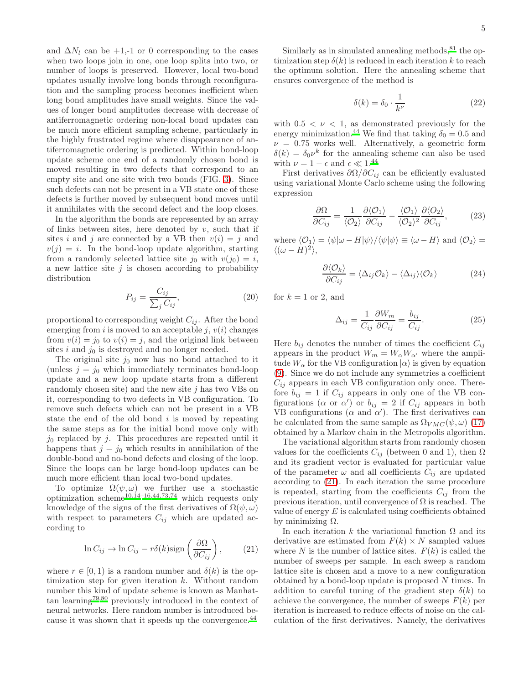and  $\Delta N_l$  can be +1,-1 or 0 corresponding to the cases when two loops join in one, one loop splits into two, or number of loops is preserved. However, local two-bond updates usually involve long bonds through reconfiguration and the sampling process becomes inefficient when long bond amplitudes have small weights. Since the values of longer bond amplitudes decrease with decrease of antiferromagnetic ordering non-local bond updates can be much more efficient sampling scheme, particularly in the highly frustrated regime where disappearance of antiferromagnetic ordering is predicted. Within bond-loop update scheme one end of a randomly chosen bond is moved resulting in two defects that correspond to an empty site and one site with two bonds (FIG. [3\)](#page-3-4). Since such defects can not be present in a VB state one of these defects is further moved by subsequent bond moves until it annihilates with the second defect and the loop closes.

In the algorithm the bonds are represented by an array of links between sites, here denoted by  $v$ , such that if sites i and j are connected by a VB then  $v(i) = j$  and  $v(j) = i$ . In the bond-loop update algorithm, starting from a randomly selected lattice site  $j_0$  with  $v(j_0) = i$ , a new lattice site  $j$  is chosen according to probability distribution

$$
P_{ij} = \frac{C_{ij}}{\sum_j C_{ij}},\tag{20}
$$

proportional to corresponding weight  $C_{ij}$ . After the bond emerging from i is moved to an acceptable j,  $v(i)$  changes from  $v(i) = j_0$  to  $v(i) = j$ , and the original link between sites  $i$  and  $j_0$  is destroyed and no longer needed.

The original site  $j_0$  now has no bond attached to it (unless  $j = j_0$  which immediately terminates bond-loop update and a new loop update starts from a different randomly chosen site) and the new site  $j$  has two VBs on it, corresponding to two defects in VB configuration. To remove such defects which can not be present in a VB state the end of the old bond  $i$  is moved by repeating the same steps as for the initial bond move only with  $j_0$  replaced by j. This procedures are repeated until it happens that  $j = j_0$  which results in annihilation of the double-bond and no-bond defects and closing of the loop. Since the loops can be large bond-loop updates can be much more efficient than local two-bond updates.

To optimize  $\Omega(\psi,\omega)$  we further use a stochastic optimization scheme<sup>[10](#page-7-12)[,14](#page-7-13)[–16](#page-7-10)[,44](#page-8-19)[,73](#page-8-20)[,74](#page-8-21)</sup> which requests only knowledge of the signs of the first derivatives of  $\Omega(\psi,\omega)$ with respect to parameters  $C_{ij}$  which are updated according to

<span id="page-4-0"></span>
$$
\ln C_{ij} \to \ln C_{ij} - r\delta(k)\text{sign}\left(\frac{\partial\Omega}{\partial C_{ij}}\right),\qquad(21)
$$

where  $r \in [0, 1)$  is a random number and  $\delta(k)$  is the optimization step for given iteration k. Without random number this kind of update scheme is known as Manhattan learning[79](#page-8-30)[,80](#page-8-31) previously introduced in the context of neural networks. Here random number is introduced be-cause it was shown that it speeds up the convergence.<sup>[44](#page-8-19)</sup>

Similarly as in simulated annealing methods,  $81$  the optimization step  $\delta(k)$  is reduced in each iteration k to reach the optimum solution. Here the annealing scheme that ensures convergence of the method is

$$
\delta(k) = \delta_0 \cdot \frac{1}{k^{\nu}} \tag{22}
$$

with  $0.5 < \nu < 1$ , as demonstrated previously for the energy minimization.<sup>[44](#page-8-19)</sup> We find that taking  $\delta_0 = 0.5$  and  $\nu = 0.75$  works well. Alternatively, a geometric form  $\delta(k) = \delta_0 \nu^k$  for the annealing scheme can also be used with  $\nu = 1 - \epsilon$  and  $\epsilon \ll 1.^{44}$  $\epsilon \ll 1.^{44}$  $\epsilon \ll 1.^{44}$ 

First derivatives  $\partial \Omega / \partial C_{ij}$  can be efficiently evaluated using variational Monte Carlo scheme using the following expression

$$
\frac{\partial \Omega}{\partial C_{ij}} = \frac{1}{\langle \mathcal{O}_2 \rangle} \frac{\partial \langle \mathcal{O}_1 \rangle}{\partial C_{ij}} - \frac{\langle \mathcal{O}_1 \rangle}{\langle \mathcal{O}_2 \rangle^2} \frac{\partial \langle \mathcal{O}_2 \rangle}{\partial C_{ij}}, \tag{23}
$$

where  $\langle \mathcal{O}_1 \rangle = \langle \psi | \omega - H | \psi \rangle / \langle \psi | \psi \rangle \equiv \langle \omega - H \rangle$  and  $\langle \mathcal{O}_2 \rangle =$  $\langle (\omega - \dot{H})^2 \rangle,$ 

$$
\frac{\partial \langle \mathcal{O}_k \rangle}{\partial C_{ij}} = \langle \Delta_{ij} \mathcal{O}_k \rangle - \langle \Delta_{ij} \rangle \langle \mathcal{O}_k \rangle \tag{24}
$$

for  $k = 1$  or 2, and

$$
\Delta_{ij} = \frac{1}{C_{ij}} \frac{\partial W_m}{\partial C_{ij}} = \frac{b_{ij}}{C_{ij}}.
$$
\n(25)

Here  $b_{ij}$  denotes the number of times the coefficient  $C_{ij}$ appears in the product  $W_m = W_\alpha W_{\alpha'}$  where the amplitude  $W_{\alpha}$  for the VB configuration  $|\alpha\rangle$  is given by equation [\(9\)](#page-2-2). Since we do not include any symmetries a coefficient  $C_{ij}$  appears in each VB configuration only once. Therefore  $b_{ij} = 1$  if  $C_{ij}$  appears in only one of the VB configurations ( $\alpha$  or  $\alpha'$ ) or  $b_{ij} = 2$  if  $C_{ij}$  appears in both VB configurations ( $\alpha$  and  $\alpha'$ ). The first derivatives can be calculated from the same sample as  $\Omega_{VMC}(\psi,\omega)$  [\(17\)](#page-3-2) obtained by a Markov chain in the Metropolis algorithm.

The variational algorithm starts from randomly chosen values for the coefficients  $C_{ij}$  (between 0 and 1), then  $\Omega$ and its gradient vector is evaluated for particular value of the parameter  $\omega$  and all coefficients  $C_{ij}$  are updated according to [\(21\)](#page-4-0). In each iteration the same procedure is repeated, starting from the coefficients  $C_{ij}$  from the previous iteration, until convergence of  $\Omega$  is reached. The value of energy  $E$  is calculated using coefficients obtained by minimizing  $Ω$ .

In each iteration k the variational function  $\Omega$  and its derivative are estimated from  $F(k) \times N$  sampled values where N is the number of lattice sites.  $F(k)$  is called the number of sweeps per sample. In each sweep a random lattice site is chosen and a move to a new configuration obtained by a bond-loop update is proposed N times. In addition to careful tuning of the gradient step  $\delta(k)$  to achieve the convergence, the number of sweeps  $F(k)$  per iteration is increased to reduce effects of noise on the calculation of the first derivatives. Namely, the derivatives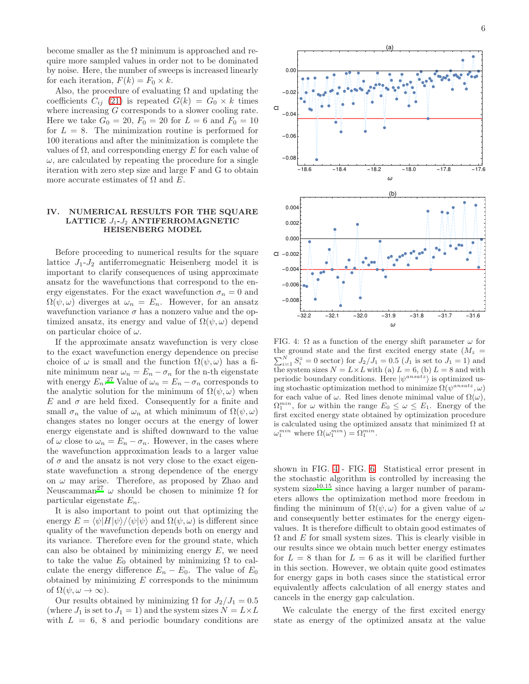become smaller as the  $\Omega$  minimum is approached and require more sampled values in order not to be dominated by noise. Here, the number of sweeps is increased linearly for each iteration,  $F(k) = F_0 \times k$ .

Also, the procedure of evaluating  $\Omega$  and updating the coefficients  $C_{ij}$  [\(21\)](#page-4-0) is repeated  $G(k) = G_0 \times k$  times where increasing G corresponds to a slower cooling rate. Here we take  $G_0 = 20$ ,  $F_0 = 20$  for  $L = 6$  and  $F_0 = 10$ for  $L = 8$ . The minimization routine is performed for 100 iterations and after the minimization is complete the values of  $\Omega$ , and corresponding energy E for each value of  $\omega$ , are calculated by repeating the procedure for a single iteration with zero step size and large F and G to obtain more accurate estimates of  $\Omega$  and  $E$ .

Ω

### <span id="page-5-0"></span>IV. NUMERICAL RESULTS FOR THE SQUARE LATTICE  $J_1$ - $J_2$  ANTIFERROMAGNETIC HEISENBERG MODEL

Before proceeding to numerical results for the square lattice  $J_1-J_2$  antiferromegnatic Heisenberg model it is important to clarify consequences of using approximate ansatz for the wavefunctions that correspond to the energy eigenstates. For the exact wavefunction  $\sigma_n = 0$  and  $\Omega(\psi,\omega)$  diverges at  $\omega_n = E_n$ . However, for an ansatz wavefunction variance  $\sigma$  has a nonzero value and the optimized ansatz, its energy and value of  $\Omega(\psi,\omega)$  depend on particular choice of  $\omega$ .

If the approximate ansatz wavefunction is very close to the exact wavefunction energy dependence on precise choice of  $\omega$  is small and the function  $\Omega(\psi,\omega)$  has a finite minimum near  $\omega_n = E_n - \sigma_n$  for the n-th eigenstate with energy  $E_n$ [.](#page-7-5)<sup>27</sup> Value of  $\omega_n = E_n - \sigma_n$  corresponds to the analytic solution for the minimum of  $\Omega(\psi,\omega)$  when E and  $\sigma$  are held fixed. Consequently for a finite and small  $\sigma_n$  the value of  $\omega_n$  at which minimum of  $\Omega(\psi,\omega)$ changes states no longer occurs at the energy of lower energy eigenstate and is shifted downward to the value of  $\omega$  close to  $\omega_n = E_n - \sigma_n$ . However, in the cases where the wavefunction approximation leads to a larger value of  $\sigma$  and the ansatz is not very close to the exact eigenstate wavefunction a strong dependence of the energy on  $\omega$  may arise. Therefore, as proposed by Zhao and Neuscamman<sup>[27](#page-7-5)</sup> ω should be chosen to minimize Ω for particular eigenstate  $E_n$ .

It is also important to point out that optimizing the energy  $E = \langle \psi | H | \psi \rangle / \langle \psi | \psi \rangle$  and  $\Omega(\psi, \omega)$  is different since quality of the wavefunction depends both on energy and its variance. Therefore even for the ground state, which can also be obtained by minimizing energy  $E$ , we need to take the value  $E_0$  obtained by minimizing  $\Omega$  to calculate the energy difference  $E_n - E_0$ . The value of  $E_0$ obtained by minimizing  $E$  corresponds to the minimum of  $\Omega(\psi, \omega \to \infty)$ .

Our results obtained by minimizing  $\Omega$  for  $J_2/J_1 = 0.5$ (where  $J_1$  is set to  $J_1 = 1$ ) and the system sizes  $N = L \times L$ with  $L = 6$ , 8 and periodic boundary conditions are



<span id="page-5-1"></span>FIG. 4:  $\Omega$  as a function of the energy shift parameter  $\omega$  for the ground state and the first excited energy state  $(M_z =$  $\sum_{i=1}^{N} S_i^z = 0$  sector) for  $J_2/J_1 = 0.5$   $(J_1$  is set to  $J_1 = 1)$  and the system sizes  $N = L \times L$  with (a)  $L = 6$ , (b)  $L = 8$  and with periodic boundary conditions. Here  $|\psi^{ansatz}\rangle$  is optimized using stochastic optimization method to minimize  $\Omega(\psi^{ansatz},\omega)$ for each value of  $\omega$ . Red lines denote minimal value of  $\Omega(\omega)$ ,  $\Omega_1^{min}$ , for  $\omega$  within the range  $E_0 \leq \omega \leq E_1$ . Energy of the first excited energy state obtained by optimization procedure is calculated using the optimized ansatz that minimized  $\Omega$  at  $\omega_1^{min}$  where  $\Omega(\omega_1^{min}) = \Omega_1^{min}$ .

-32.2 -32.1 -32.0 -31.9 -31.8 -31.7 -31.6

ω

●

●

●

 $-0.008$ 

shown in FIG. [4](#page-5-1) - FIG. [6.](#page-6-0) Statistical error present in the stochastic algorithm is controlled by increasing the system size $10,15$  $10,15$  since having a larger number of parameters allows the optimization method more freedom in finding the minimum of  $\Omega(\psi,\omega)$  for a given value of  $\omega$ and consequently better estimates for the energy eigenvalues. It is therefore difficult to obtain good estimates of  $\Omega$  and  $E$  for small system sizes. This is clearly visible in our results since we obtain much better energy estimates for  $L = 8$  than for  $L = 6$  as it will be clarified further in this section. However, we obtain quite good estimates for energy gaps in both cases since the statistical error equivalently affects calculation of all energy states and cancels in the energy gap calculation.

We calculate the energy of the first excited energy state as energy of the optimized ansatz at the value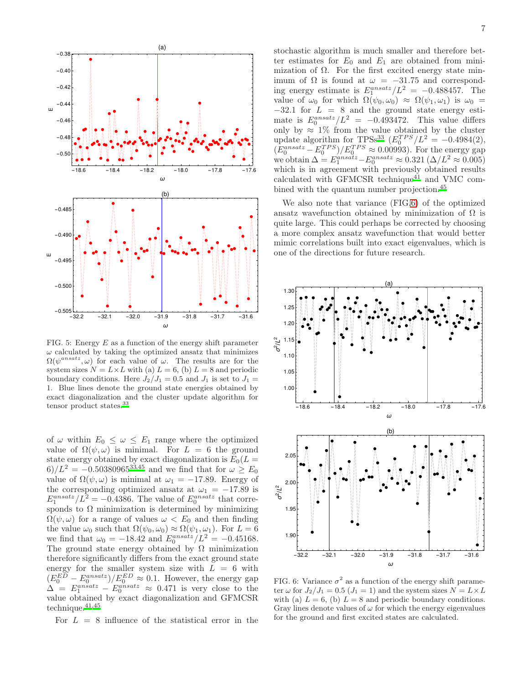

FIG. 5: Energy  $E$  as a function of the energy shift parameter  $\omega$  calculated by taking the optimized ansatz that minimizes  $\Omega(\psi^{ansatz}, \omega)$  for each value of  $\omega$ . The results are for the system sizes  $N = L \times L$  with (a)  $L = 6$ , (b)  $L = 8$  and periodic boundary conditions. Here  $J_2/J_1 = 0.5$  and  $J_1$  is set to  $J_1 =$ 1. Blue lines denote the ground state energies obtained by exact diagonalization and the cluster update algorithm for tensor product states[.](#page-7-7)<sup>33</sup>

of  $\omega$  within  $E_0 \leq \omega \leq E_1$  range where the optimized value of  $\Omega(\psi,\omega)$  is minimal. For  $L = 6$  the ground state energy obtained by exact diagonalization is  $E_0(L =$ 6)/ $L^2 = -0.50380965^{33,45}$  $L^2 = -0.50380965^{33,45}$  $L^2 = -0.50380965^{33,45}$  $L^2 = -0.50380965^{33,45}$  and we find that for  $\omega \ge E_0$ value of  $\Omega(\psi, \omega)$  is minimal at  $\omega_1 = -17.89$ . Energy of the corresponding optimized ansatz at  $\omega_1 = -17.89$  is  $E_1^{ansatz}/L^2 = -0.4386$ . The value of  $E_0^{ansatz}$  that corresponds to  $\Omega$  minimization is determined by minimizing  $\Omega(\psi,\omega)$  for a range of values  $\omega < E_0$  and then finding the value  $\omega_0$  such that  $\Omega(\psi_0, \omega_0) \approx \Omega(\psi_1, \omega_1)$ . For  $L = 6$ we find that  $\omega_0 = -18.42$  and  $E_0^{ansatz}/L^2 = -0.45168$ . The ground state energy obtained by  $\Omega$  minimization therefore significantly differs from the exact ground state energy for the smaller system size with  $L = 6$  with  $(E_0^{ED} - E_0^{ansatz})/E_0^{ED} \approx 0.1$ . However, the energy gap  $\Delta = E_1^{ansatz} - E_0^{ansatz} \approx 0.471$  is very close to the value obtained by exact diagonalization and GFMCSR technique[.](#page-8-14) $^{41,45}\,$  $^{41,45}\,$  $^{41,45}\,$ 

For  $L = 8$  influence of the statistical error in the

stochastic algorithm is much smaller and therefore better estimates for  $E_0$  and  $E_1$  are obtained from minimization of  $\Omega$ . For the first excited energy state minimum of  $\Omega$  is found at  $\omega = -31.75$  and corresponding energy estimate is  $E_1^{ansatz}/L^2 = -0.488457$ . The value of  $\omega_0$  for which  $\Omega(\psi_0, \omega_0) \approx \Omega(\psi_1, \omega_1)$  is  $\omega_0 =$  $-32.1$  for  $L = 8$  and the ground state energy estimate is  $E_0^{ansatz}/L^2 = -0.493472$ . This value differs only by  $\approx 1\%$  from the value obtained by the cluster update algorithm for TPS[s](#page-7-7)<sup>33</sup>  $(E_0^{TPS}/L^2 = -0.4984(2),$  $(E_0^{ansatz} - E_0^{TPS})/E_0^{TPS} \approx 0.00993$ . For the energy gap we obtain  $\Delta = E_1^{ansatz} - E_0^{ansatz} \approx 0.321 \left( \Delta / L^2 \approx 0.005 \right)$ which is in agreement with previously obtained results calculated with GFMCSR technique<sup>[41](#page-8-14)</sup> and VMC com-bined with the quantum number projection.<sup>[45](#page-8-11)</sup>

We also note that variance (FIG[.6\)](#page-6-0) of the optimized ansatz wavefunction obtained by minimization of  $\Omega$  is quite large. This could perhaps be corrected by choosing a more complex ansatz wavefunction that would better mimic correlations built into exact eigenvalues, which is one of the directions for future research.



<span id="page-6-0"></span>FIG. 6: Variance  $\sigma^2$  as a function of the energy shift parameter  $\omega$  for  $J_2/J_1 = 0.5$   $(J_1 = 1)$  and the system sizes  $N = L \times L$ with (a)  $L = 6$ , (b)  $L = 8$  and periodic boundary conditions. Gray lines denote values of  $\omega$  for which the energy eigenvalues for the ground and first excited states are calculated.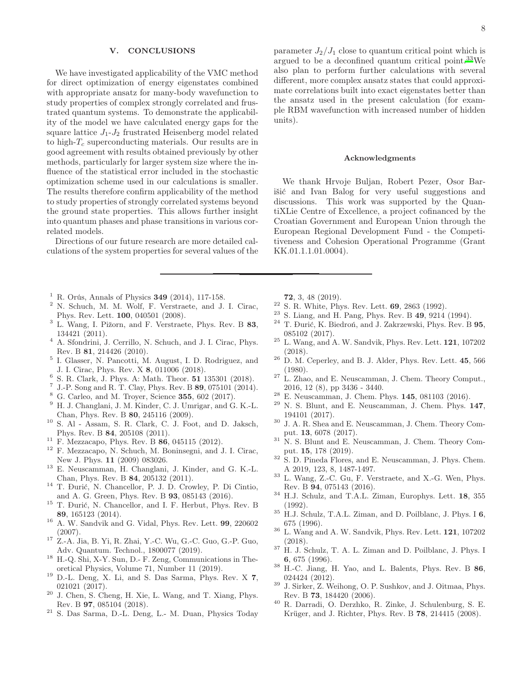### <span id="page-7-19"></span>V. CONCLUSIONS

We have investigated applicability of the VMC method for direct optimization of energy eigenstates combined with appropriate ansatz for many-body wavefunction to study properties of complex strongly correlated and frustrated quantum systems. To demonstrate the applicability of the model we have calculated energy gaps for the square lattice  $J_1-J_2$  frustrated Heisenberg model related to high- $T_c$  superconducting materials. Our results are in good agreement with results obtained previously by other methods, particularly for larger system size where the influence of the statistical error included in the stochastic optimization scheme used in our calculations is smaller. The results therefore confirm applicability of the method to study properties of strongly correlated systems beyond the ground state properties. This allows further insight into quantum phases and phase transitions in various correlated models.

Directions of our future research are more detailed calculations of the system properties for several values of the

- <span id="page-7-0"></span><sup>1</sup> R. Orús, Annals of Physics **349** (2014), 117-158.
- <sup>2</sup> N. Schuch, M. M. Wolf, F. Verstraete, and J. I. Cirac, Phys. Rev. Lett. 100, 040501 (2008).
- $3$  L. Wang, I. Pižorn, and F. Verstraete, Phys. Rev. B  $83$ , 134421 (2011).
- <sup>4</sup> A. Sfondrini, J. Cerrillo, N. Schuch, and J. I. Cirac, Phys. Rev. B 81, 214426 (2010).
- <span id="page-7-15"></span>5 I. Glasser, N. Pancotti, M. August, I. D. Rodriguez, and J. I. Cirac, Phys. Rev. X 8, 011006 (2018).
- <span id="page-7-16"></span><sup>6</sup> S. R. Clark, J. Phys. A: Math. Theor. **51** 135301 (2018).
- J.-P. Song and R. T. Clay, Phys. Rev. B 89, 075101 (2014).
- <span id="page-7-17"></span><sup>8</sup> G. Carleo, and M. Troyer, Science 355, 602 (2017).
- <span id="page-7-11"></span><sup>9</sup> H. J. Changlani, J. M. Kinder, C. J. Umrigar, and G. K.-L. Chan, Phys. Rev. B 80, 245116 (2009).
- <span id="page-7-12"></span><sup>10</sup> S. Al - Assam, S. R. Clark, C. J. Foot, and D. Jaksch, Phys. Rev. B 84, 205108 (2011).
- <sup>11</sup> F. Mezzacapo, Phys. Rev. B  $86, 045115$  (2012).
- <span id="page-7-9"></span><sup>12</sup> F. Mezzacapo, N. Schuch, M. Boninsegni, and J. I. Cirac, New J. Phys. 11 (2009) 083026.
- <sup>13</sup> E. Neuscamman, H. Changlani, J. Kinder, and G. K.-L. Chan, Phys. Rev. B 84, 205132 (2011).
- <span id="page-7-13"></span><sup>14</sup> T. Ðurić, N. Chancellor, P. J. D. Crowley, P. Di Cintio, and A. G. Green, Phys. Rev. B 93, 085143 (2016).
- <span id="page-7-14"></span> $^{15}$  T. Đurić, N. Chancellor, and I. F. Herbut, Phys. Rev. B 89, 165123 (2014).
- <span id="page-7-10"></span> $^{16}\,$  A. W. Sandvik and G. Vidal, Phys. Rev. Lett.  $\bf 99,\,220602$ (2007).
- <span id="page-7-18"></span><sup>17</sup> Z.-A. Jia, B. Yi, R. Zhai, Y.-C. Wu, G.-C. Guo, G.-P. Guo, Adv. Quantum. Technol., 1800077 (2019).
- <sup>18</sup> H.-Q. Shi, X-Y. Sun, D.- F. Zeng, Communications in Theoretical Physics, Volume 71, Number 11 (2019).
- $19$  D.-L. Deng, X. Li, and S. Das Sarma, Phys. Rev. X 7, 021021 (2017).
- $20$  J. Chen, S. Cheng, H. Xie, L. Wang, and T. Xiang, Phys. Rev. B 97, 085104 (2018).
- <span id="page-7-1"></span><sup>21</sup> S. Das Sarma, D.-L. Deng, L.- M. Duan, Physics Today

parameter  $J_2/J_1$  close to quantum critical point which is argued to be a deconfined quantum critical point. $33\text{We}$  $33\text{We}$ also plan to perform further calculations with several different, more complex ansatz states that could approximate correlations built into exact eigenstates better than the ansatz used in the present calculation (for example RBM wavefunction with increased number of hidden units).

## Acknowledgments

We thank Hrvoje Buljan, Robert Pezer, Osor Barišić and Ivan Balog for very useful suggestions and discussions. This work was supported by the QuantiXLie Centre of Excellence, a project cofinanced by the Croatian Government and European Union through the European Regional Development Fund - the Competitiveness and Cohesion Operational Programme (Grant KK.01.1.1.01.0004).

- 72, 3, 48 (2019).
- <span id="page-7-2"></span><sup>22</sup> S. R. White, Phys. Rev. Lett. 69, 2863 (1992).
- <sup>23</sup> S. Liang, and H. Pang, Phys. Rev. B 49, 9214 (1994).
- <sup>24</sup> T. Ðurić, K. Biedroń, and J. Zakrzewski, Phys. Rev. B 95, 085102 (2017).
- <span id="page-7-3"></span> $^{25}$  L. Wang, and A. W. Sandvik, Phys. Rev. Lett.  $121, 107202$ (2018).
- <span id="page-7-4"></span> $26\,$  D. M. Ceperley, and B. J. Alder, Phys. Rev. Lett.  ${\bf 45},\, 566$ (1980).
- <span id="page-7-5"></span> $27$  L. Zhao, and E. Neuscamman, J. Chem. Theory Comput., 2016, 12 (8), pp 3436 - 3440.
- <span id="page-7-22"></span><sup>28</sup> E. Neuscamman, J. Chem. Phys. 145, 081103 (2016).
- $29$  N. S. Blunt, and E. Neuscamman, J. Chem. Phys.  $147$ , 194101 (2017).
- <sup>30</sup> J. A. R. Shea and E. Neuscamman, J. Chem. Theory Comput. 13, 6078 (2017).
- <sup>31</sup> N. S. Blunt and E. Neuscamman, J. Chem. Theory Comput. 15, 178 (2019).
- <span id="page-7-6"></span><sup>32</sup> S. D. Pineda Flores, and E. Neuscamman, J. Phys. Chem. A 2019, 123, 8, 1487-1497.
- <span id="page-7-7"></span><sup>33</sup> L. Wang, Z.-C. Gu, F. Verstraete, and X.-G. Wen, Phys. Rev. B 94, 075143 (2016).
- <span id="page-7-20"></span> $^{34}$  H.J. Schulz, and T.A.L. Ziman, Europhys. Lett. 18, 355 (1992).
- <span id="page-7-21"></span> $^{35}$  H.J. Schulz, T.A.L. Ziman, and D. Poilblanc, J. Phys. I  ${\bf 6},$ 675 (1996).
- $^{36}\,$  L. Wang and A. W. Sandvik, Phys. Rev. Lett.  $\bf 121,\, 107202$ (2018).
- <span id="page-7-8"></span><sup>37</sup> H. J. Schulz, T. A. L. Ziman and D. Poilblanc, J. Phys. I 6, 675 (1996).
- <sup>38</sup> H.-C. Jiang, H. Yao, and L. Balents, Phys. Rev. B 86, 024424 (2012).
- $39$  J. Sirker, Z. Weihong, O. P. Sushkov, and J. Oitmaa, Phys. Rev. B 73, 184420 (2006).
- <sup>40</sup> R. Darradi, O. Derzhko, R. Zinke, J. Schulenburg, S. E. Krüger, and J. Richter, Phys. Rev. B 78, 214415 (2008).